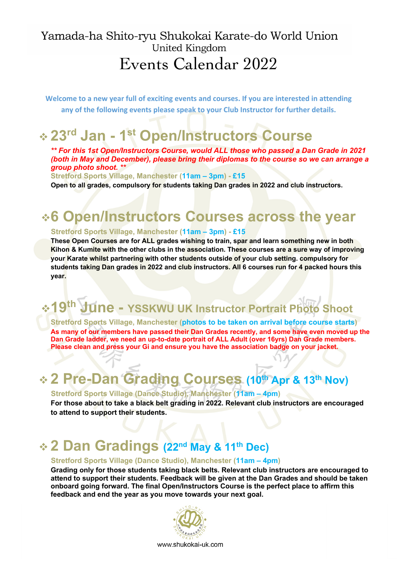## Yamada-ha Shito-ryu Shukokai Karate-do World Union United Kingdom Events Calendar 2022

**Welcome to a new year full of exciting events and courses. If you are interested in attending any of the following events please speak to your Club Instructor for further details.**

## <sup>v</sup> **23rd Jan - 1st Open/Instructors Course**

*\*\* For this 1st Open/Instructors Course, would ALL those who passed a Dan Grade in 2021 (both in May and December), please bring their diplomas to the course so we can arrange a group photo shoot. \*\**

**Stretford Sports Village, Manchester (11am – 3pm) - £15**

 **Open to all grades, compulsory for students taking Dan grades in 2022 and club instructors.**

# $\div$  6 Open/Instructors Courses across the year<br>Stretford Sports Village, Manchester (11am – 3pm) - £15

**These Open Courses are for ALL grades wishing to train, spar and learn something new in both Kihon & Kumite with the other clubs in the association. These courses are a sure way of improving your Karate whilst partnering with other students outside of your club setting. compulsory for students taking Dan grades in 2022 and club instructors. All 6 courses run for 4 packed hours this year.**

## <sup>v</sup>**19th June - YSSKWU UK Instructor Portrait Photo Shoot**

**Stretford Sports Village, Manchester (photos to be taken on arrival before course starts) As many of our members have passed their Dan Grades recently, and some have even moved up the Dan Grade ladder, we need an up-to-date portrait of ALL Adult (over 16yrs) Dan Grade members. Please clean and press your Gi and ensure you have the association badge on your jacket.**

## v **2 Pre-Dan Grading Courses (10th Apr & 13th Nov)**

#### **Stretford Sports Village (Dance Studio), Manchester (11am – 4pm)**

**For those about to take a black belt grading in 2022. Relevant club instructors are encouraged to attend to support their students.**

## v **2 Dan Gradings (22nd May & 11th Dec)**

#### **Stretford Sports Village (Dance Studio), Manchester (11am – 4pm)**

**Grading only for those students taking black belts. Relevant club instructors are encouraged to attend to support their students. Feedback will be given at the Dan Grades and should be taken onboard going forward. The final Open/Instructors Course is the perfect place to affirm this feedback and end the year as you move towards your next goal.**

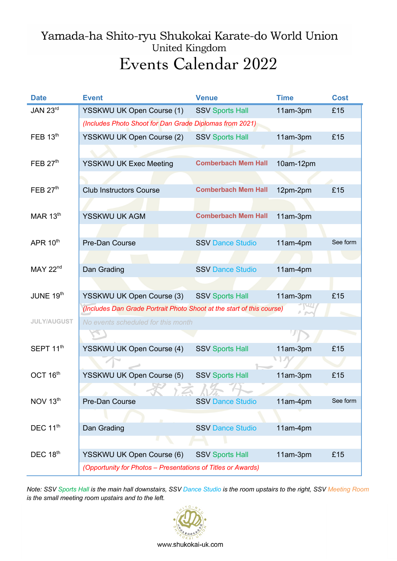## Yamada-ha Shito-ryu Shukokai Karate-do World Union United Kingdom Events Calendar 2022

| <b>Date</b>           | <b>Event</b>                                                          | <b>Venue</b>               | <b>Time</b> | <b>Cost</b> |
|-----------------------|-----------------------------------------------------------------------|----------------------------|-------------|-------------|
| JAN 23rd              | YSSKWU UK Open Course (1)                                             | <b>SSV Sports Hall</b>     | 11am-3pm    | £15         |
|                       | (Includes Photo Shoot for Dan Grade Diplomas from 2021)               |                            |             |             |
| FEB $13th$            | YSSKWU UK Open Course (2)                                             | <b>SSV Sports Hall</b>     | 11am-3pm    | £15         |
|                       |                                                                       |                            |             |             |
| FEB $27th$            | <b>YSSKWU UK Exec Meeting</b>                                         | <b>Comberbach Mem Hall</b> | 10am-12pm   |             |
|                       |                                                                       |                            |             |             |
| FEB $27th$            | <b>Club Instructors Course</b>                                        | <b>Comberbach Mem Hall</b> | 12pm-2pm    | £15         |
|                       |                                                                       |                            |             |             |
| MAR $13th$            | YSSKWU UK AGM                                                         | <b>Comberbach Mem Hall</b> | 11am-3pm    |             |
|                       |                                                                       |                            |             |             |
| APR $10th$            | Pre-Dan Course                                                        | <b>SSV Dance Studio</b>    | 11am-4pm    | See form    |
|                       |                                                                       |                            |             |             |
| MAY 22 <sup>nd</sup>  | Dan Grading                                                           | <b>SSV Dance Studio</b>    | 11am-4pm    |             |
|                       |                                                                       |                            |             |             |
| JUNE 19th             | YSSKWU UK Open Course (3)                                             | <b>SSV Sports Hall</b>     | 11am-3pm    | £15         |
|                       | (Includes Dan Grade Portrait Photo Shoot at the start of this course) |                            |             |             |
| <b>JULY/AUGUST</b>    | No events scheduled for this month                                    |                            |             |             |
|                       |                                                                       |                            |             |             |
| SEPT 11 <sup>th</sup> | YSSKWU UK Open Course (4)                                             | <b>SSV Sports Hall</b>     | 11am-3pm    | £15         |
|                       |                                                                       |                            |             |             |
| OCT $16th$            | YSSKWU UK Open Course (5)                                             | <b>SSV Sports Hall</b>     | 11am-3pm    | £15         |
|                       | $\rightarrow$                                                         |                            |             |             |
| NOV 13th              | Pre-Dan Course                                                        | <b>SSV Dance Studio</b>    | 11am-4pm    | See form    |
|                       |                                                                       |                            |             |             |
| DEC 11 <sup>th</sup>  | Dan Grading                                                           | <b>SSV Dance Studio</b>    | 11am-4pm    |             |
|                       |                                                                       |                            |             |             |
| DEC 18th              | YSSKWU UK Open Course (6)                                             | <b>SSV Sports Hall</b>     | 11am-3pm    | £15         |
|                       | (Opportunity for Photos - Presentations of Titles or Awards)          |                            |             |             |

*Note: SSV Sports Hall is the main hall downstairs, SSV Dance Studio is the room upstairs to the right, SSV Meeting Room is the small meeting room upstairs and to the left.*